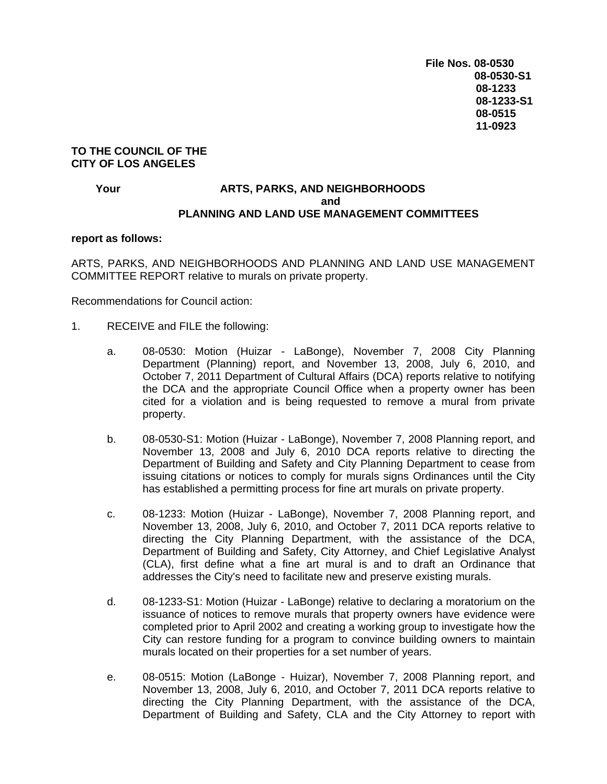## **TO THE COUNCIL OF THE CITY OF LOS ANGELES**

## **Your CONSERVING ARTS, PARKS, AND NEIGHBORHOODS** *and* **and** *and and***</del> <b>***and*  **PLANNING AND LAND USE MANAGEMENT COMMITTEES**

## **report as follows:**

ARTS, PARKS, AND NEIGHBORHOODS AND PLANNING AND LAND USE MANAGEMENT COMMITTEE REPORT relative to murals on private property.

Recommendations for Council action:

- 1. RECEIVE and FILE the following:
	- a. 08-0530: Motion (Huizar LaBonge), November 7, 2008 City Planning Department (Planning) report, and November 13, 2008, July 6, 2010, and October 7, 2011 Department of Cultural Affairs (DCA) reports relative to notifying the DCA and the appropriate Council Office when a property owner has been cited for a violation and is being requested to remove a mural from private property.
	- b. 08-0530-S1: Motion (Huizar LaBonge), November 7, 2008 Planning report, and November 13, 2008 and July 6, 2010 DCA reports relative to directing the Department of Building and Safety and City Planning Department to cease from issuing citations or notices to comply for murals signs Ordinances until the City has established a permitting process for fine art murals on private property.
	- c. 08-1233: Motion (Huizar LaBonge), November 7, 2008 Planning report, and November 13, 2008, July 6, 2010, and October 7, 2011 DCA reports relative to directing the City Planning Department, with the assistance of the DCA, Department of Building and Safety, City Attorney, and Chief Legislative Analyst (CLA), first define what a fine art mural is and to draft an Ordinance that addresses the City's need to facilitate new and preserve existing murals.
	- d. 08-1233-S1: Motion (Huizar LaBonge) relative to declaring a moratorium on the issuance of notices to remove murals that property owners have evidence were completed prior to April 2002 and creating a working group to investigate how the City can restore funding for a program to convince building owners to maintain murals located on their properties for a set number of years.
	- e. 08-0515: Motion (LaBonge Huizar), November 7, 2008 Planning report, and November 13, 2008, July 6, 2010, and October 7, 2011 DCA reports relative to directing the City Planning Department, with the assistance of the DCA, Department of Building and Safety, CLA and the City Attorney to report with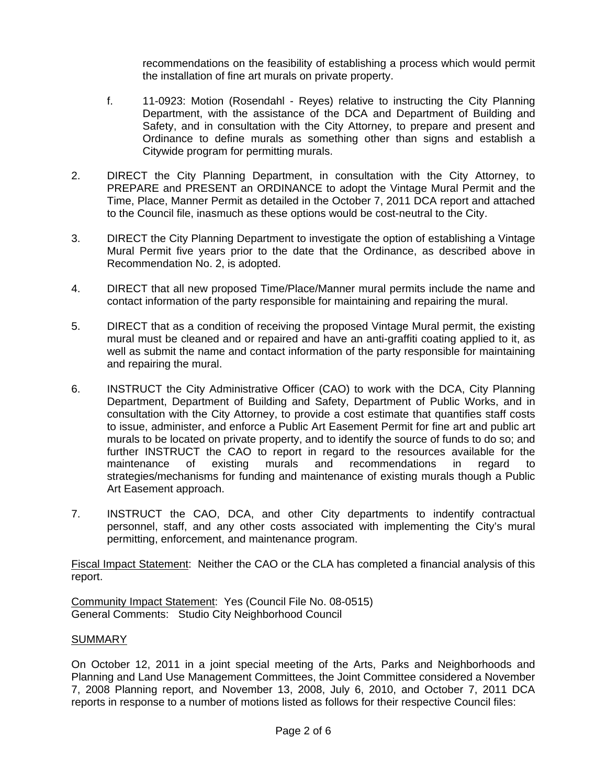recommendations on the feasibility of establishing a process which would permit the installation of fine art murals on private property.

- f. 11-0923: Motion (Rosendahl Reyes) relative to instructing the City Planning Department, with the assistance of the DCA and Department of Building and Safety, and in consultation with the City Attorney, to prepare and present and Ordinance to define murals as something other than signs and establish a Citywide program for permitting murals.
- 2. DIRECT the City Planning Department, in consultation with the City Attorney, to PREPARE and PRESENT an ORDINANCE to adopt the Vintage Mural Permit and the Time, Place, Manner Permit as detailed in the October 7, 2011 DCA report and attached to the Council file, inasmuch as these options would be cost-neutral to the City.
- 3. DIRECT the City Planning Department to investigate the option of establishing a Vintage Mural Permit five years prior to the date that the Ordinance, as described above in Recommendation No. 2, is adopted.
- 4. DIRECT that all new proposed Time/Place/Manner mural permits include the name and contact information of the party responsible for maintaining and repairing the mural.
- 5. DIRECT that as a condition of receiving the proposed Vintage Mural permit, the existing mural must be cleaned and or repaired and have an anti-graffiti coating applied to it, as well as submit the name and contact information of the party responsible for maintaining and repairing the mural.
- 6. INSTRUCT the City Administrative Officer (CAO) to work with the DCA, City Planning Department, Department of Building and Safety, Department of Public Works, and in consultation with the City Attorney, to provide a cost estimate that quantifies staff costs to issue, administer, and enforce a Public Art Easement Permit for fine art and public art murals to be located on private property, and to identify the source of funds to do so; and further INSTRUCT the CAO to report in regard to the resources available for the maintenance of existing murals and recommendations in regard to strategies/mechanisms for funding and maintenance of existing murals though a Public Art Easement approach.
- 7. INSTRUCT the CAO, DCA, and other City departments to indentify contractual personnel, staff, and any other costs associated with implementing the City's mural permitting, enforcement, and maintenance program.

Fiscal Impact Statement: Neither the CAO or the CLA has completed a financial analysis of this report.

Community Impact Statement: Yes (Council File No. 08-0515) General Comments: Studio City Neighborhood Council

## **SUMMARY**

On October 12, 2011 in a joint special meeting of the Arts, Parks and Neighborhoods and Planning and Land Use Management Committees, the Joint Committee considered a November 7, 2008 Planning report, and November 13, 2008, July 6, 2010, and October 7, 2011 DCA reports in response to a number of motions listed as follows for their respective Council files: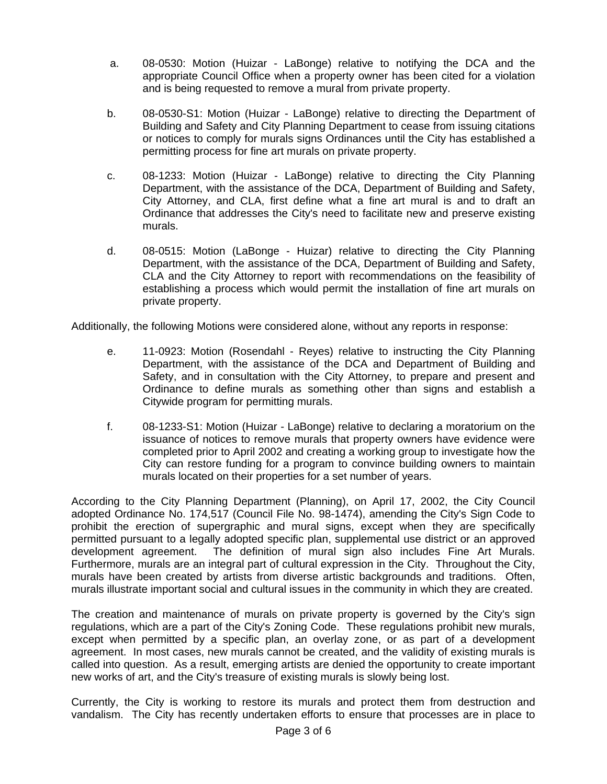- a. 08-0530: Motion (Huizar LaBonge) relative to notifying the DCA and the appropriate Council Office when a property owner has been cited for a violation and is being requested to remove a mural from private property.
- b. 08-0530-S1: Motion (Huizar LaBonge) relative to directing the Department of Building and Safety and City Planning Department to cease from issuing citations or notices to comply for murals signs Ordinances until the City has established a permitting process for fine art murals on private property.
- c. 08-1233: Motion (Huizar LaBonge) relative to directing the City Planning Department, with the assistance of the DCA, Department of Building and Safety, City Attorney, and CLA, first define what a fine art mural is and to draft an Ordinance that addresses the City's need to facilitate new and preserve existing murals.
- d. 08-0515: Motion (LaBonge Huizar) relative to directing the City Planning Department, with the assistance of the DCA, Department of Building and Safety, CLA and the City Attorney to report with recommendations on the feasibility of establishing a process which would permit the installation of fine art murals on private property.

Additionally, the following Motions were considered alone, without any reports in response:

- e. 11-0923: Motion (Rosendahl Reyes) relative to instructing the City Planning Department, with the assistance of the DCA and Department of Building and Safety, and in consultation with the City Attorney, to prepare and present and Ordinance to define murals as something other than signs and establish a Citywide program for permitting murals.
- f. 08-1233-S1: Motion (Huizar LaBonge) relative to declaring a moratorium on the issuance of notices to remove murals that property owners have evidence were completed prior to April 2002 and creating a working group to investigate how the City can restore funding for a program to convince building owners to maintain murals located on their properties for a set number of years.

According to the City Planning Department (Planning), on April 17, 2002, the City Council adopted Ordinance No. 174,517 (Council File No. 98-1474), amending the City's Sign Code to prohibit the erection of supergraphic and mural signs, except when they are specifically permitted pursuant to a legally adopted specific plan, supplemental use district or an approved development agreement. The definition of mural sign also includes Fine Art Murals. Furthermore, murals are an integral part of cultural expression in the City. Throughout the City, murals have been created by artists from diverse artistic backgrounds and traditions. Often, murals illustrate important social and cultural issues in the community in which they are created.

The creation and maintenance of murals on private property is governed by the City's sign regulations, which are a part of the City's Zoning Code. These regulations prohibit new murals, except when permitted by a specific plan, an overlay zone, or as part of a development agreement. In most cases, new murals cannot be created, and the validity of existing murals is called into question. As a result, emerging artists are denied the opportunity to create important new works of art, and the City's treasure of existing murals is slowly being lost.

Currently, the City is working to restore its murals and protect them from destruction and vandalism. The City has recently undertaken efforts to ensure that processes are in place to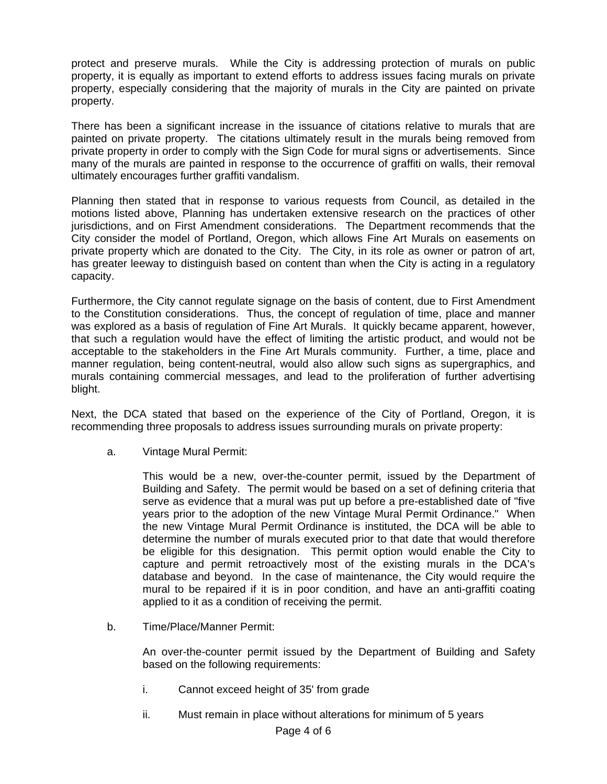protect and preserve murals. While the City is addressing protection of murals on public property, it is equally as important to extend efforts to address issues facing murals on private property, especially considering that the majority of murals in the City are painted on private property.

There has been a significant increase in the issuance of citations relative to murals that are painted on private property. The citations ultimately result in the murals being removed from private property in order to comply with the Sign Code for mural signs or advertisements. Since many of the murals are painted in response to the occurrence of graffiti on walls, their removal ultimately encourages further graffiti vandalism.

Planning then stated that in response to various requests from Council, as detailed in the motions listed above, Planning has undertaken extensive research on the practices of other jurisdictions, and on First Amendment considerations. The Department recommends that the City consider the model of Portland, Oregon, which allows Fine Art Murals on easements on private property which are donated to the City. The City, in its role as owner or patron of art, has greater leeway to distinguish based on content than when the City is acting in a regulatory capacity.

Furthermore, the City cannot regulate signage on the basis of content, due to First Amendment to the Constitution considerations. Thus, the concept of regulation of time, place and manner was explored as a basis of regulation of Fine Art Murals. It quickly became apparent, however, that such a regulation would have the effect of limiting the artistic product, and would not be acceptable to the stakeholders in the Fine Art Murals community. Further, a time, place and manner regulation, being content-neutral, would also allow such signs as supergraphics, and murals containing commercial messages, and lead to the proliferation of further advertising blight.

Next, the DCA stated that based on the experience of the City of Portland, Oregon, it is recommending three proposals to address issues surrounding murals on private property:

a. Vintage Mural Permit:

This would be a new, over-the-counter permit, issued by the Department of Building and Safety. The permit would be based on a set of defining criteria that serve as evidence that a mural was put up before a pre-established date of "five years prior to the adoption of the new Vintage Mural Permit Ordinance." When the new Vintage Mural Permit Ordinance is instituted, the DCA will be able to determine the number of murals executed prior to that date that would therefore be eligible for this designation. This permit option would enable the City to capture and permit retroactively most of the existing murals in the DCA's database and beyond. In the case of maintenance, the City would require the mural to be repaired if it is in poor condition, and have an anti-graffiti coating applied to it as a condition of receiving the permit.

b. Time/Place/Manner Permit:

An over-the-counter permit issued by the Department of Building and Safety based on the following requirements:

- i. Cannot exceed height of 35' from grade
- ii. Must remain in place without alterations for minimum of 5 years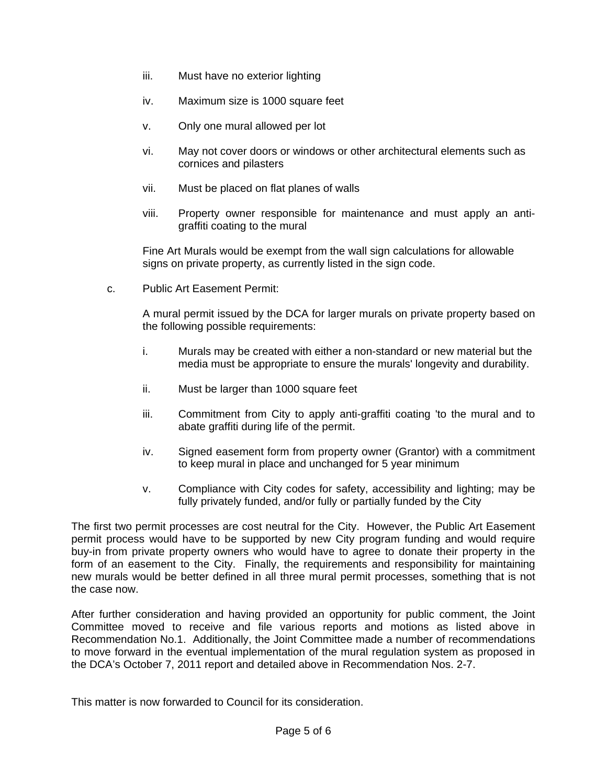- iii. Must have no exterior lighting
- iv. Maximum size is 1000 square feet
- v. Only one mural allowed per lot
- vi. May not cover doors or windows or other architectural elements such as cornices and pilasters
- vii. Must be placed on flat planes of walls
- viii. Property owner responsible for maintenance and must apply an antigraffiti coating to the mural

Fine Art Murals would be exempt from the wall sign calculations for allowable signs on private property, as currently listed in the sign code.

c. Public Art Easement Permit:

A mural permit issued by the DCA for larger murals on private property based on the following possible requirements:

- i. Murals may be created with either a non-standard or new material but the media must be appropriate to ensure the murals' longevity and durability.
- ii. Must be larger than 1000 square feet
- iii. Commitment from City to apply anti-graffiti coating 'to the mural and to abate graffiti during life of the permit.
- iv. Signed easement form from property owner (Grantor) with a commitment to keep mural in place and unchanged for 5 year minimum
- v. Compliance with City codes for safety, accessibility and lighting; may be fully privately funded, and/or fully or partially funded by the City

The first two permit processes are cost neutral for the City. However, the Public Art Easement permit process would have to be supported by new City program funding and would require buy-in from private property owners who would have to agree to donate their property in the form of an easement to the City. Finally, the requirements and responsibility for maintaining new murals would be better defined in all three mural permit processes, something that is not the case now.

After further consideration and having provided an opportunity for public comment, the Joint Committee moved to receive and file various reports and motions as listed above in Recommendation No.1. Additionally, the Joint Committee made a number of recommendations to move forward in the eventual implementation of the mural regulation system as proposed in the DCA's October 7, 2011 report and detailed above in Recommendation Nos. 2-7.

This matter is now forwarded to Council for its consideration.